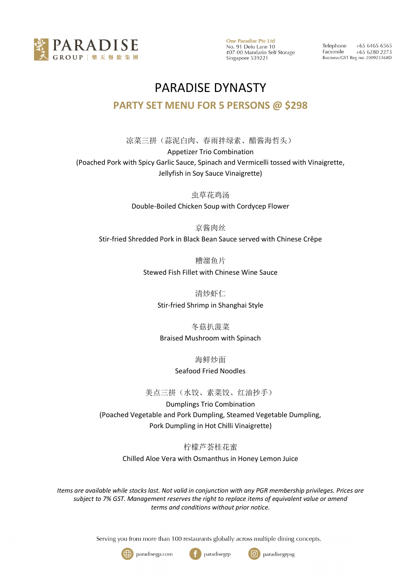

**One Paradise Pte Ltd** No. 91 Defu Lane 10 #07-00 Mandarin Self Storage Singapore 539221

 $+6564656565$ Telephone Facsimile +65 6280 2273 Business/GST Reg no: 200923368D

## PARADISE DYNASTY **PARTY SET MENU FOR 5 PERSONS @ \$298**

凉菜三拼(蒜泥白肉、春雨拌绿素、醋酱海哲头) Appetizer Trio Combination (Poached Pork with Spicy Garlic Sauce, Spinach and Vermicelli tossed with Vinaigrette, Jellyfish in Soy Sauce Vinaigrette)

> 虫草花鸡汤 Double-Boiled Chicken Soup with Cordycep Flower

> > 京酱肉丝

Stir-fried Shredded Pork in Black Bean Sauce served with Chinese Crêpe

糟溜鱼片

Stewed Fish Fillet with Chinese Wine Sauce

清炒虾仁

Stir-fried Shrimp in Shanghai Style

#### 冬菇扒菠菜

Braised Mushroom with Spinach

海鲜炒面

Seafood Fried Noodles

美点三拼(水饺、素菜饺、红油抄手)

Dumplings Trio Combination (Poached Vegetable and Pork Dumpling, Steamed Vegetable Dumpling, Pork Dumpling in Hot Chilli Vinaigrette)

> 柠檬芦荟桂花蜜 Chilled Aloe Vera with Osmanthus in Honey Lemon Juice

*Items are available while stocks last. Not valid in conjunction with any PGR membership privileges. Prices are subject to 7% GST. Management reserves the right to replace items of equivalent value or amend terms and conditions without prior notice.*

Serving you from more than 100 restaurants globally across multiple dining concepts.

(f





paradisegrp

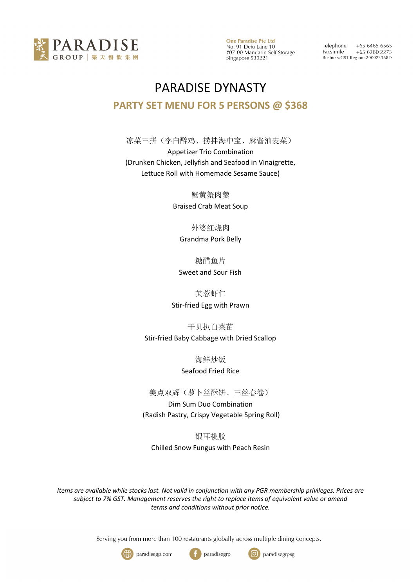

**One Paradise Pte Ltd** No. 91 Defu Lane 10 #07-00 Mandarin Self Storage Singapore 539221

 $+6564656565$ Telephone Facsimile +65 6280 2273 Business/GST Reg no: 200923368D

# PARADISE DYNASTY **PARTY SET MENU FOR 5 PERSONS @ \$368**

凉菜三拼(李白醉鸡、捞拌海中宝、麻酱油麦菜) Appetizer Trio Combination (Drunken Chicken, Jellyfish and Seafood in Vinaigrette, Lettuce Roll with Homemade Sesame Sauce)

> 蟹黄蟹肉羹 Braised Crab Meat Soup

外婆红烧肉 Grandma Pork Belly

糖醋鱼片

Sweet and Sour Fish

芙蓉虾仁

Stir-fried Egg with Prawn

干贝扒白菜苗

Stir-fried Baby Cabbage with Dried Scallop

海鲜炒饭

Seafood Fried Rice

美点双辉(萝卜丝酥饼、三丝春卷)

Dim Sum Duo Combination (Radish Pastry, Crispy Vegetable Spring Roll)

银耳桃胶

Chilled Snow Fungus with Peach Resin

*Items are available while stocks last. Not valid in conjunction with any PGR membership privileges. Prices are subject to 7% GST. Management reserves the right to replace items of equivalent value or amend terms and conditions without prior notice.*

Serving you from more than 100 restaurants globally across multiple dining concepts.





paradisegrp

ြဝ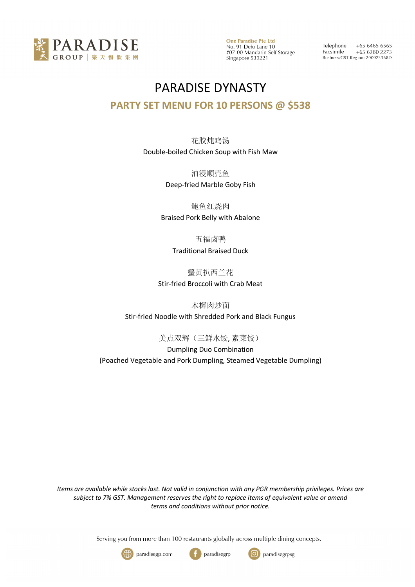

**One Paradise Pte Ltd** No. 91 Defu Lane 10<br>#07-00 Mandarin Self Storage Singapore 539221

Telephone  $+6564656565$ Facsimile  $+6562802273$ Business/GST Reg no: 200923368D

## PARADISE DYNASTY

### **PARTY SET MENU FOR 10 PERSONS @ \$538**

花胶炖鸡汤 Double-boiled Chicken Soup with Fish Maw

> 油浸顺壳鱼 Deep-fried Marble Goby Fish

鲍鱼红烧肉 Braised Pork Belly with Abalone

> 五福卤鸭 Traditional Braised Duck

蟹黄扒西兰花 Stir-fried Broccoli with Crab Meat

木樨肉炒面 Stir-fried Noodle with Shredded Pork and Black Fungus

美点双辉(三鲜水饺, 素菜饺)

Dumpling Duo Combination (Poached Vegetable and Pork Dumpling, Steamed Vegetable Dumpling)

*Items are available while stocks last. Not valid in conjunction with any PGR membership privileges. Prices are subject to 7% GST. Management reserves the right to replace items of equivalent value or amend terms and conditions without prior notice.*

Serving you from more than 100 restaurants globally across multiple dining concepts.





paradisegrp